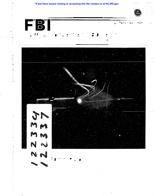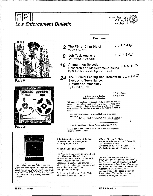

ISSN 0014-5688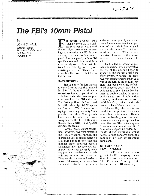122334

# **The FI3/'s 10mm Pistol**

**By** 

**JOHN C. HALL**  Special Agent Firearms Training Unit FBI Academy Quantico, VA



For several decades, FBI Agents carried the .38 caliber revolver as a standard firearm. Now, after extensive testing and evaluation, the FBI is converting to a new semiautomatic pistol. The new pistol, built to FBI specifications and chambered for a new cartridge—the 10mm, will be issued to all FBI Agents to replace existing revolvers. This article describes the process that led to this decision.

**"·11'\*\*8** \*4¥ffA+M **t** 

### **BACKGROUND**

The authority for FBI Agents to carry firearms was first granted in 1934. Although pistols were sometimes issued or permitted on a limited basis, the revolver predominated as the FBI sidearm. The first significant shift occurred in 1981, when Special Weapons and Tactics (SWAT) teams were equipped with large capacity 9mm pistols. Since then, 9mm pistols have also become the issue weapons for the FBI's Hostage Rescue Team (HRT) and special surveillance teams.

For the general Agent population, however, revolvers remained the issue weapon, though the increasing use of pistols reflected a growing recognition that the modern pistol provides certain advantages over the revolver. Primarily, pistols are generally more compact and portable and provide a larger ammunition capacity. They are also quicker and easier to reload. Moreover, experience has shown that pistols are generally

easier to shoot quickly and accurately due to the self-cocking operation of the slide following each shot and the more efficient transmission of recoil. What is most important, however, is that pistols have proven to be durable and reliable.

Undoubtedly, interest in pistols intensified when innovative designs of the weapon began to appear on the market during the early 1980s. Whereas the basic revolver design remains much as it was at the turn of the century, the pistol has been virtually refashioned in recent years, providing a wide range of such innovative features as double-stacked large capacity magazines, double-action triggers, ambidextrous controls, multiple safety devices, and endless varieties of shapes and sizes.

Meanwhile, other events entered into the picture. Instances where law enforcement officers were confronting more violent, heavily armed subjects appeared to be on the rise. The increasing use of semiautomatic and even fully automatic weapons by certain segments of the criminal element began to raise concerns about the adequacy of law enforcement armament.

### **SELECTION OF** A NEW HANDGUN

In 1987, new impetus was given to the FBI's ongoing evaluation of firearms and ammunition. The Firearms Training Unit, located at the FBI Academy in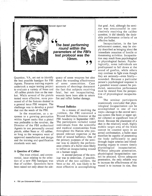

Quantico, VA, set out to identify the best possible handgun for FBI Agents. Firearms training experts undertook a major testing project to evaluate a variety of 9mm and .45 caliber pistols then on the market. While several of the pistols tested were effective, none possessed all of the features desired in a general issue FBI weapon. The challenge was to develop a pistol that met the needs of the FBI.

In the meantime, as a response to a growing perception within Agent ranks that a pistol was preferable to the revolver. the Director of the FBI authorized Agents to use personally owned pistols, either 9mm or .45 caliber as long as the weapons were of approved manufacture and design and the training and qualification standards were met.

### **A Question of Caliber**

The most critical. and controversial, issue relating to the selection of a new FBI handgun was that of caliber. Questions have been raised not only about the ade-

quacy of some weapons but also about the wounding effectiveness of some ammunition. Case accounts of shootings document the fact that subjects receiving fatal, but not incapacitating, wounds have been able to return fire and inflict further damage.

### **Wound Ballistics**

As a means of resolving the problem, the FBI convened a Wound Ballistics Seminar at the FBI Academy in September 1987. The participants included noted individuals from the scientific and medical communities from throughout the Nation who possessed relevant expertise in the field of wound ballistics. One of the primary purposes of the seminar was to identify the performance criteria of a bullet most likely to inflict an incapacitating wound on a human target.

A second purpose of the seminar was to determine, if possible, which of the two calibers, the 9mm or the .45, was likely to be most effective in accomplishing that goal. And, although the semi- . nar was unsuccessful in conclusively resolving the caliber question, it did identify the desirable performance criteria of an effective bullet.

**M** 

Incapacitation, in the law enforcement context, may be simply described as bringing about the immediate cessation of hostile or threatening activities. Incapacitation may result from psychological or physiological factors. Psychologically, some individuals are predisposed to fall down at the sound of gunfire, while others may continue to fight even though they are seriously—even fatally wounded. Because a particular person's psychological response to a gunshot wound cannot be predicted, ammunition performance must be viewed from the perspective of physiological incapacitation.

The seminar participants unanimously concluded that physiological incapacitation can be accomplished in one of two ways-damage to the central nervous system (the brain or upper spinal column) or significant loss of blood. Because the placement of a shot in the relatively small, highly mobile target area of the brain cannot be counted upon in an armed confrontation, a bullet must therefore be capable of penetrating the body sufficiently to pass through major arteries and bloodbearing organs to ensure timely physiological incapacitation. Without adequate penetration, physiological incapacitation cannot be attained. Given adequate penetration. the only reliable way to increase the effectiveness of the wound is to increase its size, thus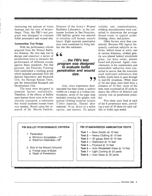increasing the amount of tissue damage and the rate of hemorrhage. Thus, the FBI's test program was designed to evaluate bullet penetration and wound size.

### **Ammunition** Test Design

-

With the performance criteria acquired from the Wound Ballistics Seminar, the next step was to design and construct a series of ammunition tests to measure the performance of different rounds against those standards. For that purpose, the Firearms Training Unit established a working group which included personnel from the Special Operations and Research Unit, the Hostage Rescue Team, and the Institutional Research and Development Unit.

The tests were designed to simulate factors realistically. Therefore, if the effects of bullets upon human tissue were to be realistically measured, a substance that would duplicate human tissue was needed. Based upon the research of Dr. Martin Fackler,

Director of the Army's Wound Ballistics Laboratory, at the Letterman Institute in San Francisco, 10% ballistic gelatin was selected to simulate soft human muscle tissue. Eight separate penetration tests were conducted by firing bullets into this substance.

**p. , ..** 

## " **... the FBI's test program was designed to evaluate bullet penetration and wound size.**

Also, since experience dem-<br>
onstrated that bare tissue is seldom to<br>
that the self of the self of the self of the self of the self of the self of the self of the self of the self of the self of the self of the self of th Also, since experience visible on a target in a violent confrontation, seven of the eight tests included covering the gelatin with typical clothing material (cotton T-shirt material, flannel shirt material, 10 oz. down in a nylon carrier, and denim). To assure

validity and standardization, clothing manufacturers were consulted to determine the average thread count in typical underclothing, shirts, and jackets.

ii

Other factors were then considered. Because FBI Agents frequently confront subjects in vehicles, behind doors or walls, and at various distances, clothed gelatin was placed behind windshield glass, car door metal, plaster board and plywood. Again, manufacturers in the construction and automobile industries were consulted to assure that the materials used replicated substances that bullets would have to pass through in real-life situations. While most of the test shots were fired from a distance of 10 feet, some of the tests were conducted at 20 yards to assess the effects of distance and velocity loss on penetration potential.

Five shots were fired in each of the 8 penetration tests, providing a total of 40 shots for each caliber or bullet type tested.

### **FBI BULLET PERFORMANCE CRITERIA | FBI STANDARDIZED AMMUNITION TESTS**

- 1. Penetration
	- a. Minimum Acceptable-12"
	- b. Maximum Desirable-18"
- 2. Size of the Wound (Volume)
	- a. Frontal Area of Bullet
	- b. Depth of Penetration

- **Test 1** Bare Gelatin  $\omega$  10 feet
- Test 2 Heavy Clothing @ 10 feet
- **Test**  $3 20$  **gauge Steel**  $@$  **10 feet**
- **Test 4** Wallboard  $@$  10 feet
- **Test 5**  $-$  Plywood  $@$  10 feet
- Test 6 Auto Windshield Glass @ 10 feet
- Test 7 Light Clothing @ 20 yards
- **Test 8 Auto Glass**  $\omega$  **20 yards**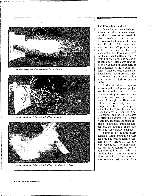

An ammunition test shot being fired into wallboard.



An ammunition test shot being fired into plywood.



An ammunition test shot being fired into auto windshield glass.

### The Competing Calibers

= 'tt **,w,we** *u\** <sup>A</sup>

Once the tests were designed, a decision had to be made regarding the calibers to be tested. In pistol cartridges, the two most obvious contenders were the 9mm and .45 caliber. The 9mm round tested was the 147 grain subsonic hollow point round produced by Winchester; the .45 round selected for the test was the Remington 185 grain hollow point. The selection of these particular cartridges for testing was based, in large part, on the consensus of the Wound Ballistic Workshop participants that these bullets should provide superior penetration over other hollow point bullets in their respective calibers.

In the meantime, a separate research and development project had been undertaken with the 10mm cartridge to assess its application to law enforcement work. Although the 10mm (.40 caliber) is a relatively new cartridge, with few weapons presently chambered for it, its unique size, halfway between the 9mm (.35 caliber) and the .45, appeared to offer the possibility of a third viable law enforcement pistol cartridge. In addition, unlike its competitors, the potential of the new cartridge was virtually untapped.

Samples of commercially available lOmm ammunition were acquired and preliminarily evaluated as to suitability for law enforcement use. The high chamber pressures generated by the commercial loadings, with the resultant heavy recoil and muzzle blast, tended to offset the otherwise excellent performance of the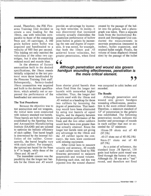round. Therefore, the FBI Firearms Training Unit decided to create a new loading for the 10mm, one with velocities comparable to those of the competing 9mm and .45 cartridges. A 180 grain hollow point bullet was acquired and handloaded to a velocity of 950 feet per second. This loading not only matched the velocities of the other two cartridges, but it also dramatically reduced recoil and muzzle blast.

**•** 

In the absence of factory ammunition built to the desired specifications, the 10mm rounds initially subjected to the test protocol were those hand loaded by the Firearms Training Unit staff. Subsequently, factory-loaded 10mm ammunition was acquired and built to the desired specifications, which actually met or surpassed the performance of the handloaded test ammunition.

### The Test Procedures

Because the objective was to test ammunition and not weapons, the initial tests were conducted with industry standard test barrels. These barrels are built to standards established by the Sporting Arms and Ammunition Manufacturing Institute (SAAMI) and are tailored to optimize the ballistic efficiency of each caliber. Test barrel length is determined by the internal ballistics of the caliber. Consequently, the barrel lengths vary with each caliber. For example, the optimal test barrel for the 9mm is 4" in length, while those of the I Omm and .45 are 6".

The immediate concern was the possibility that the longer test barrels for the 10mm and .45 would provide an advantage by increasing their velocities. In reality, it was discovered that increased velocity actually diminishes the penetration performance of hollow point bullets in gelatin by increasing the rate and degree of expansion. It was noted, for example, that both the 10mm and .45 achieved lower velocities, but greater penetration, when fired

created by the passage of the bullet into the gelatin, and a photograph was taken. Then a separate team from the Institutional Research and Development Unit conducted the measurements to ascertain penetration (measured in inches), bullet expansion, and retained bullet weight. Finally, the volume of tissue displaced (wound size) by the passage of the bullet

g &. J

## **6 6**<br>Although penetration and wound size govern<br>handgun wounding effectiveness, penetration is<br>the more exitical element **Although penetration and wound size govern the more critical element.**

from shorter pistol barrels than when fired from the longer test barrels with somewhat higher velocities. Thus, the longer test barrels used with the 10mm and .45 worked as a handicap for those two calibers by lessening the degree of penetration. That handicap would have been eliminated by using test barrels of equal lengths, and the disparity between the penetration performance of the 9mm and the two other calibers would have been even greater than that actually attained. Since the longer test barrels were not giving any advantage to the 10mm and the .45 caliber (quite the contrary), the tests were continued with existing equipment.

After initial tests to measure velocity and accuracy, 40 rounds of each caliber were fired by FBI firearms personnel to measure penetration and wound volume. Following each shot, red dye was injected into the wound channel

was computed in cubic inches and recorded.

### The Results

Although penetration and wound size govern handgun wounding effectiveness, penetration is the more critical element. Therefore, a minimum standard of 12" of penetration in the gelatin was established. The following penetration results indicate the number and percentage of rounds in each caliber that met or exceeded the 12" minimum:

10mm-39 shots out of 40  $(97.5%)$ 

.45-37 shots out of 40 (92.5%)

9mm-27 shots out of 40 (67.5%)

As a point of reference, the standard issue .38 Special, 158 grain lead hollow point round was fired through the battery of tests. Although the .38 was not a "test" round, and therefore not fired